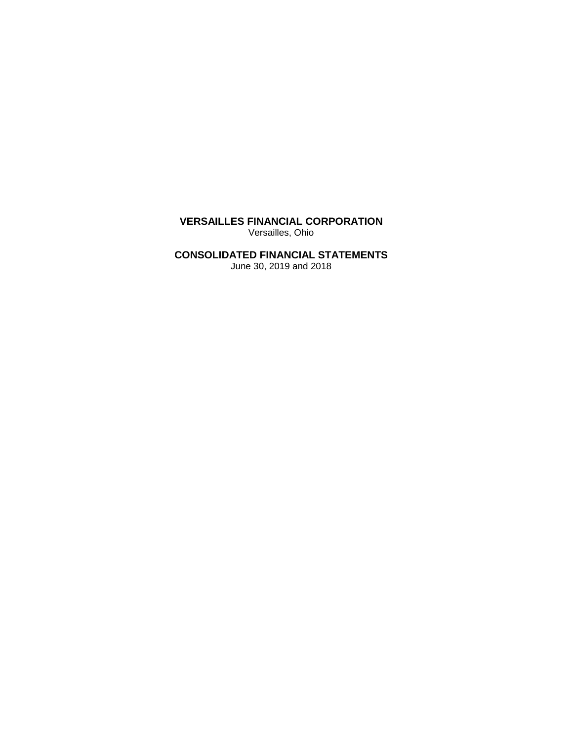**VERSAILLES FINANCIAL CORPORATION** Versailles, Ohio

# **CONSOLIDATED FINANCIAL STATEMENTS**

June 30, 2019 and 2018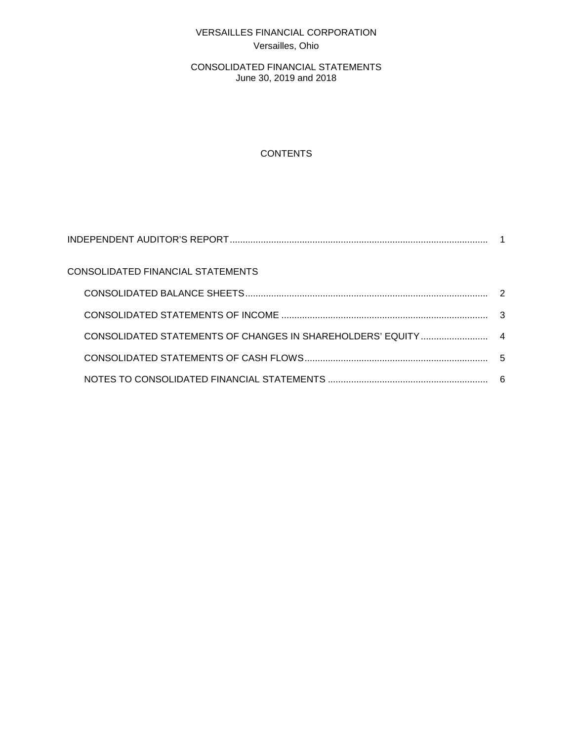# VERSAILLES FINANCIAL CORPORATION Versailles, Ohio

CONSOLIDATED FINANCIAL STATEMENTS June 30, 2019 and 2018

# **CONTENTS**

| CONSOLIDATED FINANCIAL STATEMENTS |  |
|-----------------------------------|--|
|                                   |  |
|                                   |  |
|                                   |  |
|                                   |  |
|                                   |  |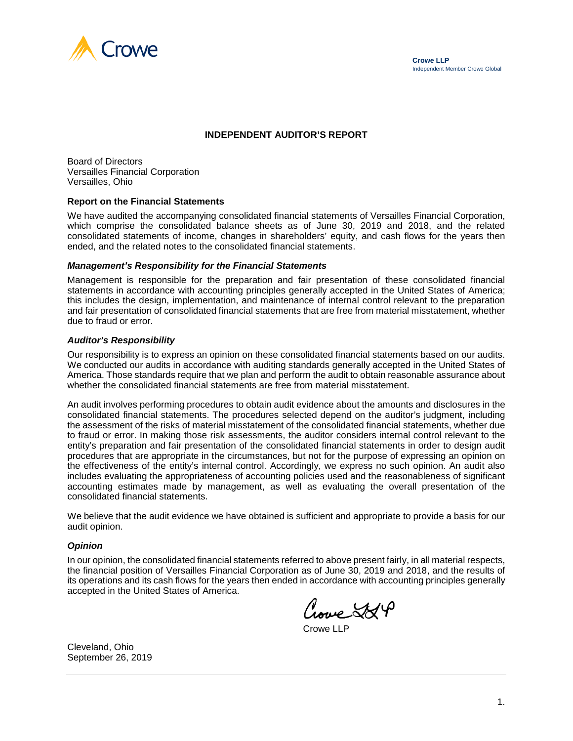

#### **INDEPENDENT AUDITOR'S REPORT**

Board of Directors Versailles Financial Corporation Versailles, Ohio

#### **Report on the Financial Statements**

We have audited the accompanying consolidated financial statements of Versailles Financial Corporation, which comprise the consolidated balance sheets as of June 30, 2019 and 2018, and the related consolidated statements of income, changes in shareholders' equity, and cash flows for the years then ended, and the related notes to the consolidated financial statements.

#### *Management's Responsibility for the Financial Statements*

Management is responsible for the preparation and fair presentation of these consolidated financial statements in accordance with accounting principles generally accepted in the United States of America; this includes the design, implementation, and maintenance of internal control relevant to the preparation and fair presentation of consolidated financial statements that are free from material misstatement, whether due to fraud or error.

#### *Auditor's Responsibility*

Our responsibility is to express an opinion on these consolidated financial statements based on our audits. We conducted our audits in accordance with auditing standards generally accepted in the United States of America. Those standards require that we plan and perform the audit to obtain reasonable assurance about whether the consolidated financial statements are free from material misstatement.

An audit involves performing procedures to obtain audit evidence about the amounts and disclosures in the consolidated financial statements. The procedures selected depend on the auditor's judgment, including the assessment of the risks of material misstatement of the consolidated financial statements, whether due to fraud or error. In making those risk assessments, the auditor considers internal control relevant to the entity's preparation and fair presentation of the consolidated financial statements in order to design audit procedures that are appropriate in the circumstances, but not for the purpose of expressing an opinion on the effectiveness of the entity's internal control. Accordingly, we express no such opinion. An audit also includes evaluating the appropriateness of accounting policies used and the reasonableness of significant accounting estimates made by management, as well as evaluating the overall presentation of the consolidated financial statements.

We believe that the audit evidence we have obtained is sufficient and appropriate to provide a basis for our audit opinion.

#### *Opinion*

In our opinion, the consolidated financial statements referred to above present fairly, in all material respects, the financial position of Versailles Financial Corporation as of June 30, 2019 and 2018, and the results of its operations and its cash flows for the years then ended in accordance with accounting principles generally accepted in the United States of America.

Nove SSP

Crowe LLP

Cleveland, Ohio September 26, 2019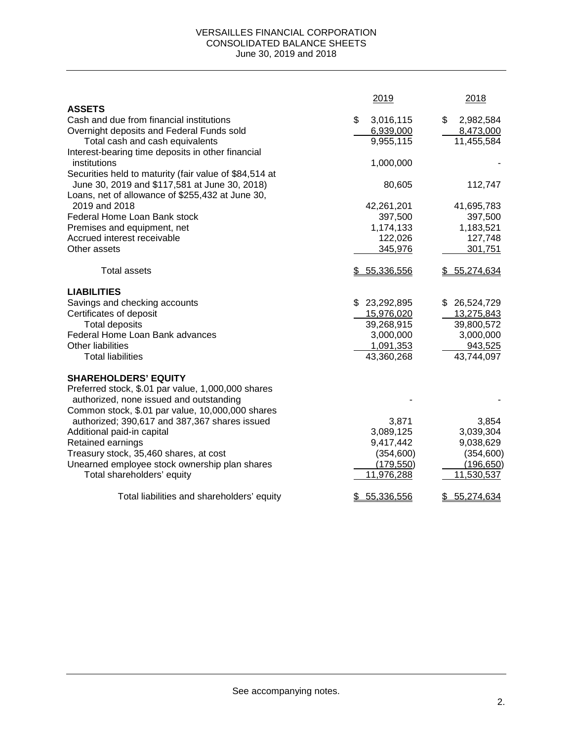#### VERSAILLES FINANCIAL CORPORATION CONSOLIDATED BALANCE SHEETS June 30, 2019 and 2018

|                                                        | 2019             | 2018             |
|--------------------------------------------------------|------------------|------------------|
| <b>ASSETS</b>                                          |                  |                  |
| Cash and due from financial institutions               | \$<br>3,016,115  | \$<br>2,982,584  |
| Overnight deposits and Federal Funds sold              | 6,939,000        | 8,473,000        |
| Total cash and cash equivalents                        | 9,955,115        | 11,455,584       |
| Interest-bearing time deposits in other financial      |                  |                  |
| institutions                                           | 1,000,000        |                  |
| Securities held to maturity (fair value of \$84,514 at |                  |                  |
| June 30, 2019 and \$117,581 at June 30, 2018)          | 80,605           | 112,747          |
| Loans, net of allowance of \$255,432 at June 30,       |                  |                  |
| 2019 and 2018                                          | 42,261,201       | 41,695,783       |
| Federal Home Loan Bank stock                           | 397,500          | 397,500          |
| Premises and equipment, net                            | 1,174,133        | 1,183,521        |
| Accrued interest receivable                            | 122,026          | 127,748          |
| Other assets                                           | 345,976          | 301,751          |
| <b>Total assets</b>                                    | \$5,336,556      | \$55,274,634     |
| <b>LIABILITIES</b>                                     |                  |                  |
| Savings and checking accounts                          | \$23,292,895     | \$ 26,524,729    |
| Certificates of deposit                                | 15,976,020       | 13,275,843       |
| <b>Total deposits</b>                                  | 39,268,915       | 39,800,572       |
| Federal Home Loan Bank advances                        | 3,000,000        | 3,000,000        |
| Other liabilities                                      | 1,091,353        | 943,525          |
| <b>Total liabilities</b>                               | 43,360,268       | 43,744,097       |
| <b>SHAREHOLDERS' EQUITY</b>                            |                  |                  |
| Preferred stock, \$.01 par value, 1,000,000 shares     |                  |                  |
| authorized, none issued and outstanding                |                  |                  |
| Common stock, \$.01 par value, 10,000,000 shares       |                  |                  |
| authorized; 390,617 and 387,367 shares issued          | 3,871            | 3,854            |
| Additional paid-in capital                             | 3,089,125        | 3,039,304        |
| Retained earnings                                      | 9,417,442        | 9,038,629        |
| Treasury stock, 35,460 shares, at cost                 | (354, 600)       | (354, 600)       |
| Unearned employee stock ownership plan shares          | (179, 550)       | (196, 650)       |
| Total shareholders' equity                             | 11,976,288       | 11,530,537       |
| Total liabilities and shareholders' equity             | 55,336,556<br>\$ | 55,274,634<br>\$ |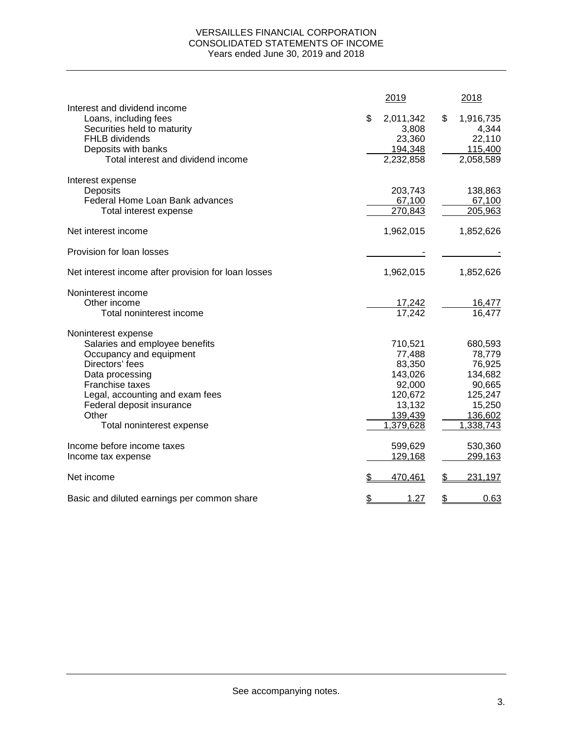### VERSAILLES FINANCIAL CORPORATION CONSOLIDATED STATEMENTS OF INCOME Years ended June 30, 2019 and 2018

|                                                                                                                                                                                                                                                 | 2019 |                                                                                               | 2018                                                                                          |
|-------------------------------------------------------------------------------------------------------------------------------------------------------------------------------------------------------------------------------------------------|------|-----------------------------------------------------------------------------------------------|-----------------------------------------------------------------------------------------------|
| Interest and dividend income<br>Loans, including fees<br>Securities held to maturity<br><b>FHLB</b> dividends<br>Deposits with banks<br>Total interest and dividend income                                                                      | \$   | 2,011,342<br>\$<br>3,808<br>23,360<br>194,348<br>2,232,858                                    | 1,916,735<br>4,344<br>22,110<br>115,400<br>2,058,589                                          |
| Interest expense<br>Deposits<br>Federal Home Loan Bank advances<br>Total interest expense                                                                                                                                                       |      | 203,743<br>67,100<br>270,843                                                                  | 138,863<br>67,100<br>205,963                                                                  |
| Net interest income                                                                                                                                                                                                                             |      | 1,962,015                                                                                     | 1,852,626                                                                                     |
| Provision for loan losses                                                                                                                                                                                                                       |      |                                                                                               |                                                                                               |
| Net interest income after provision for loan losses                                                                                                                                                                                             |      | 1,962,015                                                                                     | 1,852,626                                                                                     |
| Noninterest income<br>Other income<br>Total noninterest income                                                                                                                                                                                  |      | 17,242<br>17,242                                                                              | 16,477<br>16,477                                                                              |
| Noninterest expense<br>Salaries and employee benefits<br>Occupancy and equipment<br>Directors' fees<br>Data processing<br>Franchise taxes<br>Legal, accounting and exam fees<br>Federal deposit insurance<br>Other<br>Total noninterest expense |      | 710,521<br>77,488<br>83,350<br>143,026<br>92,000<br>120,672<br>13,132<br>139,439<br>1,379,628 | 680,593<br>78,779<br>76,925<br>134,682<br>90,665<br>125,247<br>15,250<br>136,602<br>1,338,743 |
| Income before income taxes<br>Income tax expense                                                                                                                                                                                                |      | 599,629<br>129,168                                                                            | 530,360<br>299,163                                                                            |
| Net income                                                                                                                                                                                                                                      | \$   | 470,461<br>\$                                                                                 | 231,197                                                                                       |
| Basic and diluted earnings per common share                                                                                                                                                                                                     | \$   | 1.27<br>\$                                                                                    | 0.63                                                                                          |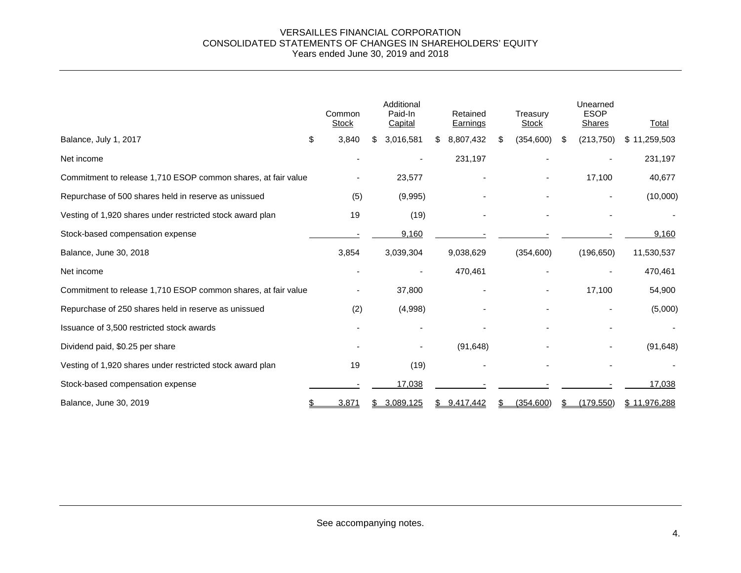#### VERSAILLES FINANCIAL CORPORATION CONSOLIDATED STATEMENTS OF CHANGES IN SHAREHOLDERS' EQUITY Years ended June 30, 2019 and 2018

|                                                               | Common<br><b>Stock</b> | Additional<br>Paid-In<br>Capital |    | Retained<br><b>Earnings</b> | Treasury<br><b>Stock</b> |   | Unearned<br><b>ESOP</b><br>Shares | Total        |
|---------------------------------------------------------------|------------------------|----------------------------------|----|-----------------------------|--------------------------|---|-----------------------------------|--------------|
| Balance, July 1, 2017                                         | \$<br>3,840            | \$<br>3,016,581                  | S. | 8,807,432                   | \$<br>(354, 600)         | S | (213, 750)                        | \$11,259,503 |
| Net income                                                    |                        |                                  |    | 231,197                     |                          |   |                                   | 231,197      |
| Commitment to release 1,710 ESOP common shares, at fair value |                        | 23,577                           |    |                             |                          |   | 17,100                            | 40,677       |
| Repurchase of 500 shares held in reserve as unissued          | (5)                    | (9,995)                          |    |                             |                          |   |                                   | (10,000)     |
| Vesting of 1,920 shares under restricted stock award plan     | 19                     | (19)                             |    |                             |                          |   |                                   |              |
| Stock-based compensation expense                              |                        | 9,160                            |    |                             |                          |   |                                   | 9,160        |
| Balance, June 30, 2018                                        | 3,854                  | 3,039,304                        |    | 9,038,629                   | (354,600)                |   | (196, 650)                        | 11,530,537   |
| Net income                                                    |                        |                                  |    | 470,461                     |                          |   |                                   | 470,461      |
| Commitment to release 1,710 ESOP common shares, at fair value |                        | 37,800                           |    | $\overline{\phantom{a}}$    |                          |   | 17,100                            | 54,900       |
| Repurchase of 250 shares held in reserve as unissued          | (2)                    | (4,998)                          |    |                             |                          |   |                                   | (5,000)      |
| Issuance of 3,500 restricted stock awards                     |                        |                                  |    |                             |                          |   |                                   |              |
| Dividend paid, \$0.25 per share                               |                        |                                  |    | (91, 648)                   |                          |   |                                   | (91, 648)    |
| Vesting of 1,920 shares under restricted stock award plan     | 19                     | (19)                             |    |                             |                          |   |                                   |              |
| Stock-based compensation expense                              |                        | 17,038                           |    |                             |                          |   |                                   | 17,038       |
| Balance, June 30, 2019                                        | 3,871                  | 3,089,125                        |    | 9,417,442                   | (354, 600)               |   | (179, 550)                        | \$11,976,288 |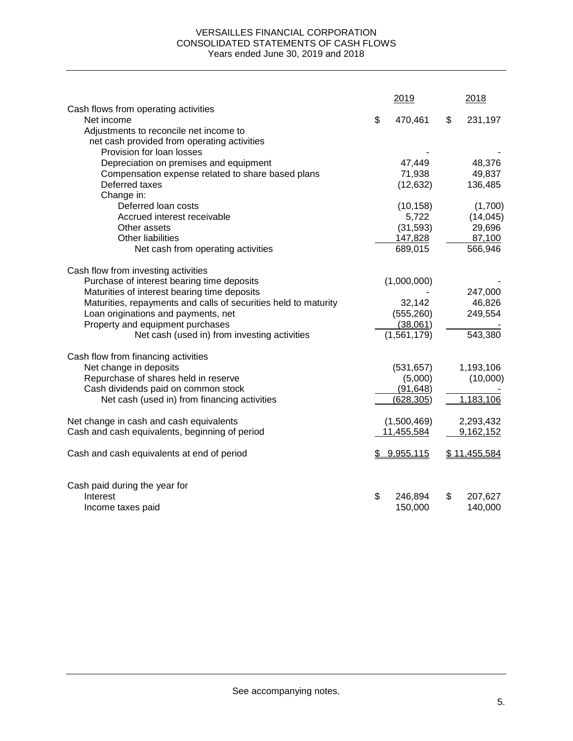### VERSAILLES FINANCIAL CORPORATION CONSOLIDATED STATEMENTS OF CASH FLOWS Years ended June 30, 2019 and 2018

|                                                                          | 2019          | 2018          |
|--------------------------------------------------------------------------|---------------|---------------|
| Cash flows from operating activities<br>Net income                       | \$            | \$            |
|                                                                          | 470,461       | 231,197       |
| Adjustments to reconcile net income to                                   |               |               |
| net cash provided from operating activities<br>Provision for loan losses |               |               |
|                                                                          | 47,449        |               |
| Depreciation on premises and equipment                                   |               | 48,376        |
| Compensation expense related to share based plans                        | 71,938        | 49,837        |
| Deferred taxes                                                           | (12, 632)     | 136,485       |
| Change in:                                                               |               |               |
| Deferred loan costs                                                      | (10, 158)     | (1,700)       |
| Accrued interest receivable                                              | 5,722         | (14, 045)     |
| Other assets                                                             | (31, 593)     | 29,696        |
| <b>Other liabilities</b>                                                 | 147,828       | 87,100        |
| Net cash from operating activities                                       | 689,015       | 566,946       |
| Cash flow from investing activities                                      |               |               |
| Purchase of interest bearing time deposits                               | (1,000,000)   |               |
| Maturities of interest bearing time deposits                             |               | 247,000       |
| Maturities, repayments and calls of securities held to maturity          | 32,142        | 46,826        |
| Loan originations and payments, net                                      | (555, 260)    | 249,554       |
| Property and equipment purchases                                         | (38,061)      |               |
| Net cash (used in) from investing activities                             | (1,561,179)   | 543,380       |
| Cash flow from financing activities                                      |               |               |
| Net change in deposits                                                   | (531, 657)    | 1,193,106     |
| Repurchase of shares held in reserve                                     | (5,000)       | (10,000)      |
| Cash dividends paid on common stock                                      | (91, 648)     |               |
| Net cash (used in) from financing activities                             | (628, 305)    | 1,183,106     |
| Net change in cash and cash equivalents                                  | (1,500,469)   | 2,293,432     |
| Cash and cash equivalents, beginning of period                           | 11,455,584    | 9,162,152     |
|                                                                          |               |               |
| Cash and cash equivalents at end of period                               | \$9,955,115   | \$11,455,584  |
| Cash paid during the year for                                            |               |               |
| Interest                                                                 | \$<br>246,894 | \$<br>207,627 |
| Income taxes paid                                                        | 150,000       | 140,000       |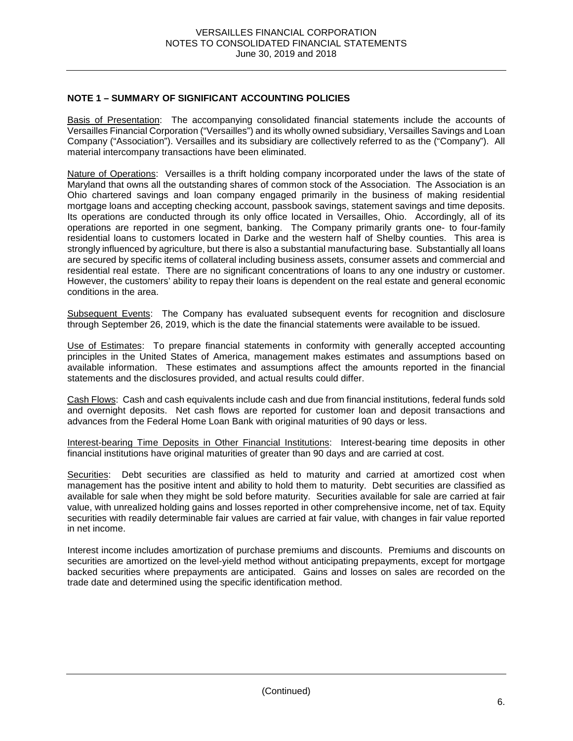## **NOTE 1 – SUMMARY OF SIGNIFICANT ACCOUNTING POLICIES**

Basis of Presentation: The accompanying consolidated financial statements include the accounts of Versailles Financial Corporation ("Versailles") and its wholly owned subsidiary, Versailles Savings and Loan Company ("Association"). Versailles and its subsidiary are collectively referred to as the ("Company"). All material intercompany transactions have been eliminated.

Nature of Operations: Versailles is a thrift holding company incorporated under the laws of the state of Maryland that owns all the outstanding shares of common stock of the Association. The Association is an Ohio chartered savings and loan company engaged primarily in the business of making residential mortgage loans and accepting checking account, passbook savings, statement savings and time deposits. Its operations are conducted through its only office located in Versailles, Ohio. Accordingly, all of its operations are reported in one segment, banking. The Company primarily grants one- to four-family residential loans to customers located in Darke and the western half of Shelby counties. This area is strongly influenced by agriculture, but there is also a substantial manufacturing base. Substantially all loans are secured by specific items of collateral including business assets, consumer assets and commercial and residential real estate. There are no significant concentrations of loans to any one industry or customer. However, the customers' ability to repay their loans is dependent on the real estate and general economic conditions in the area.

Subsequent Events: The Company has evaluated subsequent events for recognition and disclosure through September 26, 2019, which is the date the financial statements were available to be issued.

Use of Estimates: To prepare financial statements in conformity with generally accepted accounting principles in the United States of America, management makes estimates and assumptions based on available information. These estimates and assumptions affect the amounts reported in the financial statements and the disclosures provided, and actual results could differ.

Cash Flows: Cash and cash equivalents include cash and due from financial institutions, federal funds sold and overnight deposits. Net cash flows are reported for customer loan and deposit transactions and advances from the Federal Home Loan Bank with original maturities of 90 days or less.

Interest-bearing Time Deposits in Other Financial Institutions: Interest-bearing time deposits in other financial institutions have original maturities of greater than 90 days and are carried at cost.

Securities: Debt securities are classified as held to maturity and carried at amortized cost when management has the positive intent and ability to hold them to maturity. Debt securities are classified as available for sale when they might be sold before maturity. Securities available for sale are carried at fair value, with unrealized holding gains and losses reported in other comprehensive income, net of tax. Equity securities with readily determinable fair values are carried at fair value, with changes in fair value reported in net income.

Interest income includes amortization of purchase premiums and discounts. Premiums and discounts on securities are amortized on the level-yield method without anticipating prepayments, except for mortgage backed securities where prepayments are anticipated. Gains and losses on sales are recorded on the trade date and determined using the specific identification method.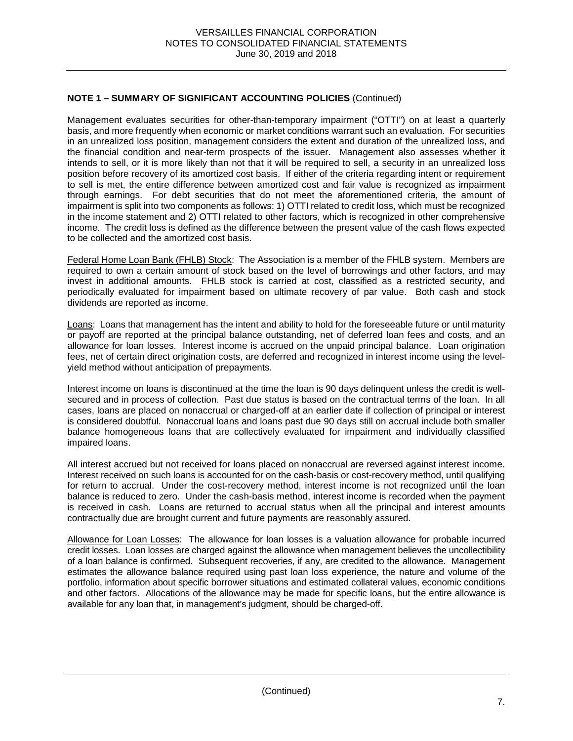Management evaluates securities for other-than-temporary impairment ("OTTI") on at least a quarterly basis, and more frequently when economic or market conditions warrant such an evaluation. For securities in an unrealized loss position, management considers the extent and duration of the unrealized loss, and the financial condition and near-term prospects of the issuer. Management also assesses whether it intends to sell, or it is more likely than not that it will be required to sell, a security in an unrealized loss position before recovery of its amortized cost basis. If either of the criteria regarding intent or requirement to sell is met, the entire difference between amortized cost and fair value is recognized as impairment through earnings. For debt securities that do not meet the aforementioned criteria, the amount of impairment is split into two components as follows: 1) OTTI related to credit loss, which must be recognized in the income statement and 2) OTTI related to other factors, which is recognized in other comprehensive income. The credit loss is defined as the difference between the present value of the cash flows expected to be collected and the amortized cost basis.

Federal Home Loan Bank (FHLB) Stock: The Association is a member of the FHLB system. Members are required to own a certain amount of stock based on the level of borrowings and other factors, and may invest in additional amounts. FHLB stock is carried at cost, classified as a restricted security, and periodically evaluated for impairment based on ultimate recovery of par value. Both cash and stock dividends are reported as income.

Loans: Loans that management has the intent and ability to hold for the foreseeable future or until maturity or payoff are reported at the principal balance outstanding, net of deferred loan fees and costs, and an allowance for loan losses. Interest income is accrued on the unpaid principal balance. Loan origination fees, net of certain direct origination costs, are deferred and recognized in interest income using the levelyield method without anticipation of prepayments.

Interest income on loans is discontinued at the time the loan is 90 days delinquent unless the credit is wellsecured and in process of collection. Past due status is based on the contractual terms of the loan. In all cases, loans are placed on nonaccrual or charged-off at an earlier date if collection of principal or interest is considered doubtful. Nonaccrual loans and loans past due 90 days still on accrual include both smaller balance homogeneous loans that are collectively evaluated for impairment and individually classified impaired loans.

All interest accrued but not received for loans placed on nonaccrual are reversed against interest income. Interest received on such loans is accounted for on the cash-basis or cost-recovery method, until qualifying for return to accrual. Under the cost-recovery method, interest income is not recognized until the loan balance is reduced to zero. Under the cash-basis method, interest income is recorded when the payment is received in cash. Loans are returned to accrual status when all the principal and interest amounts contractually due are brought current and future payments are reasonably assured.

Allowance for Loan Losses: The allowance for loan losses is a valuation allowance for probable incurred credit losses. Loan losses are charged against the allowance when management believes the uncollectibility of a loan balance is confirmed. Subsequent recoveries, if any, are credited to the allowance. Management estimates the allowance balance required using past loan loss experience, the nature and volume of the portfolio, information about specific borrower situations and estimated collateral values, economic conditions and other factors. Allocations of the allowance may be made for specific loans, but the entire allowance is available for any loan that, in management's judgment, should be charged-off.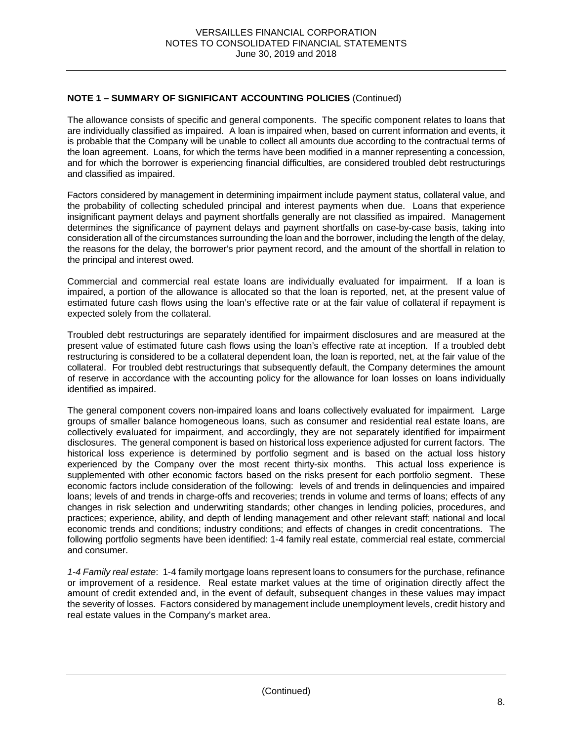The allowance consists of specific and general components. The specific component relates to loans that are individually classified as impaired. A loan is impaired when, based on current information and events, it is probable that the Company will be unable to collect all amounts due according to the contractual terms of the loan agreement. Loans, for which the terms have been modified in a manner representing a concession, and for which the borrower is experiencing financial difficulties, are considered troubled debt restructurings and classified as impaired.

Factors considered by management in determining impairment include payment status, collateral value, and the probability of collecting scheduled principal and interest payments when due. Loans that experience insignificant payment delays and payment shortfalls generally are not classified as impaired. Management determines the significance of payment delays and payment shortfalls on case-by-case basis, taking into consideration all of the circumstances surrounding the loan and the borrower, including the length of the delay, the reasons for the delay, the borrower's prior payment record, and the amount of the shortfall in relation to the principal and interest owed.

Commercial and commercial real estate loans are individually evaluated for impairment. If a loan is impaired, a portion of the allowance is allocated so that the loan is reported, net, at the present value of estimated future cash flows using the loan's effective rate or at the fair value of collateral if repayment is expected solely from the collateral.

Troubled debt restructurings are separately identified for impairment disclosures and are measured at the present value of estimated future cash flows using the loan's effective rate at inception. If a troubled debt restructuring is considered to be a collateral dependent loan, the loan is reported, net, at the fair value of the collateral. For troubled debt restructurings that subsequently default, the Company determines the amount of reserve in accordance with the accounting policy for the allowance for loan losses on loans individually identified as impaired.

The general component covers non-impaired loans and loans collectively evaluated for impairment. Large groups of smaller balance homogeneous loans, such as consumer and residential real estate loans, are collectively evaluated for impairment, and accordingly, they are not separately identified for impairment disclosures. The general component is based on historical loss experience adjusted for current factors. The historical loss experience is determined by portfolio segment and is based on the actual loss history experienced by the Company over the most recent thirty-six months. This actual loss experience is supplemented with other economic factors based on the risks present for each portfolio segment. These economic factors include consideration of the following: levels of and trends in delinquencies and impaired loans; levels of and trends in charge-offs and recoveries; trends in volume and terms of loans; effects of any changes in risk selection and underwriting standards; other changes in lending policies, procedures, and practices; experience, ability, and depth of lending management and other relevant staff; national and local economic trends and conditions; industry conditions; and effects of changes in credit concentrations. The following portfolio segments have been identified: 1-4 family real estate, commercial real estate, commercial and consumer.

*1-4 Family real estate*:1-4 family mortgage loans represent loans to consumers for the purchase, refinance or improvement of a residence. Real estate market values at the time of origination directly affect the amount of credit extended and, in the event of default, subsequent changes in these values may impact the severity of losses. Factors considered by management include unemployment levels, credit history and real estate values in the Company's market area.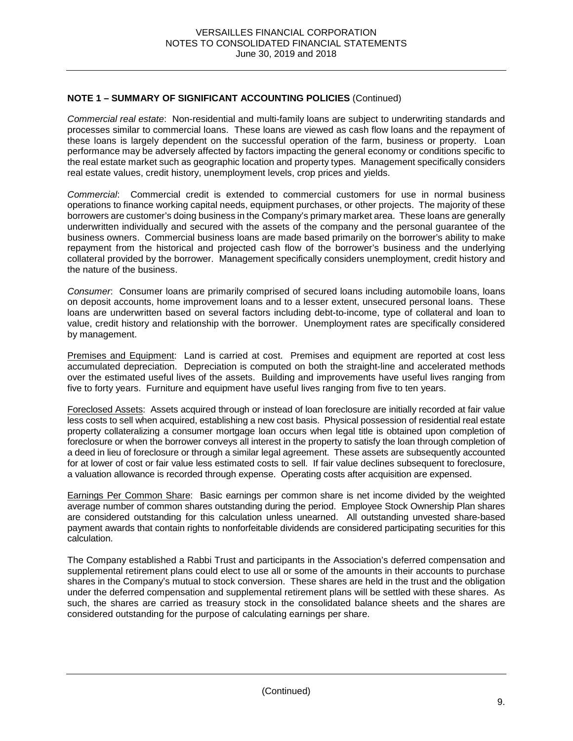*Commercial real estate*:Non-residential and multi-family loans are subject to underwriting standards and processes similar to commercial loans. These loans are viewed as cash flow loans and the repayment of these loans is largely dependent on the successful operation of the farm, business or property. Loan performance may be adversely affected by factors impacting the general economy or conditions specific to the real estate market such as geographic location and property types. Management specifically considers real estate values, credit history, unemployment levels, crop prices and yields.

*Commercial*: Commercial credit is extended to commercial customers for use in normal business operations to finance working capital needs, equipment purchases, or other projects. The majority of these borrowers are customer's doing business in the Company's primary market area. These loans are generally underwritten individually and secured with the assets of the company and the personal guarantee of the business owners. Commercial business loans are made based primarily on the borrower's ability to make repayment from the historical and projected cash flow of the borrower's business and the underlying collateral provided by the borrower. Management specifically considers unemployment, credit history and the nature of the business.

*Consumer*: Consumer loans are primarily comprised of secured loans including automobile loans, loans on deposit accounts, home improvement loans and to a lesser extent, unsecured personal loans. These loans are underwritten based on several factors including debt-to-income, type of collateral and loan to value, credit history and relationship with the borrower. Unemployment rates are specifically considered by management.

Premises and Equipment: Land is carried at cost. Premises and equipment are reported at cost less accumulated depreciation. Depreciation is computed on both the straight-line and accelerated methods over the estimated useful lives of the assets. Building and improvements have useful lives ranging from five to forty years. Furniture and equipment have useful lives ranging from five to ten years.

Foreclosed Assets: Assets acquired through or instead of loan foreclosure are initially recorded at fair value less costs to sell when acquired, establishing a new cost basis. Physical possession of residential real estate property collateralizing a consumer mortgage loan occurs when legal title is obtained upon completion of foreclosure or when the borrower conveys all interest in the property to satisfy the loan through completion of a deed in lieu of foreclosure or through a similar legal agreement. These assets are subsequently accounted for at lower of cost or fair value less estimated costs to sell. If fair value declines subsequent to foreclosure, a valuation allowance is recorded through expense. Operating costs after acquisition are expensed.

Earnings Per Common Share: Basic earnings per common share is net income divided by the weighted average number of common shares outstanding during the period. Employee Stock Ownership Plan shares are considered outstanding for this calculation unless unearned. All outstanding unvested share-based payment awards that contain rights to nonforfeitable dividends are considered participating securities for this calculation.

The Company established a Rabbi Trust and participants in the Association's deferred compensation and supplemental retirement plans could elect to use all or some of the amounts in their accounts to purchase shares in the Company's mutual to stock conversion. These shares are held in the trust and the obligation under the deferred compensation and supplemental retirement plans will be settled with these shares. As such, the shares are carried as treasury stock in the consolidated balance sheets and the shares are considered outstanding for the purpose of calculating earnings per share.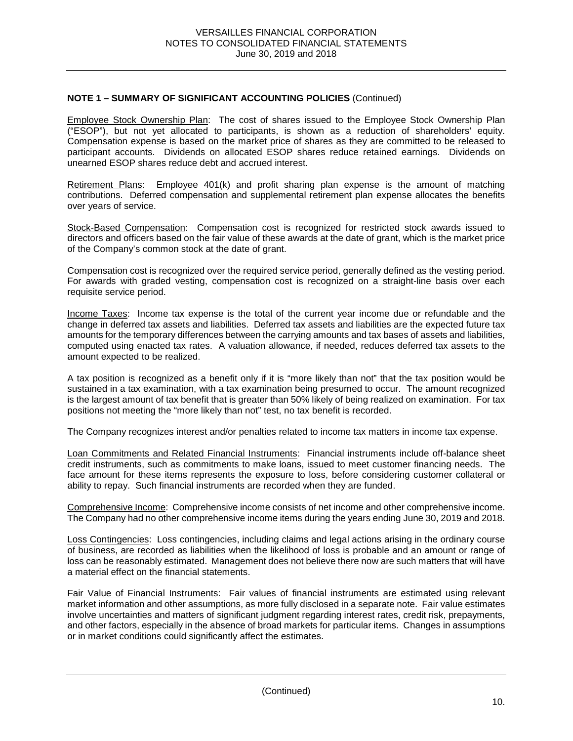Employee Stock Ownership Plan: The cost of shares issued to the Employee Stock Ownership Plan ("ESOP"), but not yet allocated to participants, is shown as a reduction of shareholders' equity. Compensation expense is based on the market price of shares as they are committed to be released to participant accounts. Dividends on allocated ESOP shares reduce retained earnings. Dividends on unearned ESOP shares reduce debt and accrued interest.

Retirement Plans: Employee 401(k) and profit sharing plan expense is the amount of matching contributions. Deferred compensation and supplemental retirement plan expense allocates the benefits over years of service.

Stock-Based Compensation: Compensation cost is recognized for restricted stock awards issued to directors and officers based on the fair value of these awards at the date of grant, which is the market price of the Company's common stock at the date of grant.

Compensation cost is recognized over the required service period, generally defined as the vesting period. For awards with graded vesting, compensation cost is recognized on a straight-line basis over each requisite service period.

Income Taxes: Income tax expense is the total of the current year income due or refundable and the change in deferred tax assets and liabilities. Deferred tax assets and liabilities are the expected future tax amounts for the temporary differences between the carrying amounts and tax bases of assets and liabilities, computed using enacted tax rates. A valuation allowance, if needed, reduces deferred tax assets to the amount expected to be realized.

A tax position is recognized as a benefit only if it is "more likely than not" that the tax position would be sustained in a tax examination, with a tax examination being presumed to occur. The amount recognized is the largest amount of tax benefit that is greater than 50% likely of being realized on examination. For tax positions not meeting the "more likely than not" test, no tax benefit is recorded.

The Company recognizes interest and/or penalties related to income tax matters in income tax expense.

Loan Commitments and Related Financial Instruments: Financial instruments include off-balance sheet credit instruments, such as commitments to make loans, issued to meet customer financing needs. The face amount for these items represents the exposure to loss, before considering customer collateral or ability to repay. Such financial instruments are recorded when they are funded.

Comprehensive Income: Comprehensive income consists of net income and other comprehensive income. The Company had no other comprehensive income items during the years ending June 30, 2019 and 2018.

Loss Contingencies: Loss contingencies, including claims and legal actions arising in the ordinary course of business, are recorded as liabilities when the likelihood of loss is probable and an amount or range of loss can be reasonably estimated. Management does not believe there now are such matters that will have a material effect on the financial statements.

Fair Value of Financial Instruments: Fair values of financial instruments are estimated using relevant market information and other assumptions, as more fully disclosed in a separate note. Fair value estimates involve uncertainties and matters of significant judgment regarding interest rates, credit risk, prepayments, and other factors, especially in the absence of broad markets for particular items. Changes in assumptions or in market conditions could significantly affect the estimates.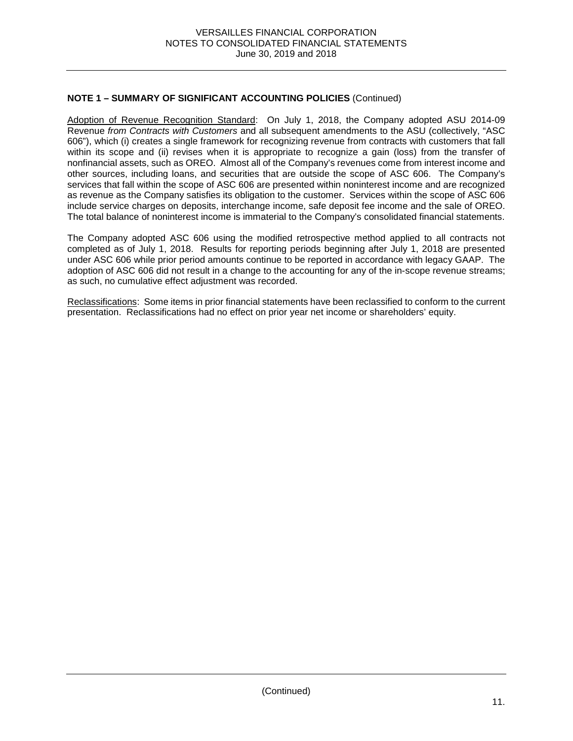Adoption of Revenue Recognition Standard: On July 1, 2018, the Company adopted ASU 2014-09 Revenue *from Contracts with Customers* and all subsequent amendments to the ASU (collectively, "ASC 606"), which (i) creates a single framework for recognizing revenue from contracts with customers that fall within its scope and (ii) revises when it is appropriate to recognize a gain (loss) from the transfer of nonfinancial assets, such as OREO. Almost all of the Company's revenues come from interest income and other sources, including loans, and securities that are outside the scope of ASC 606. The Company's services that fall within the scope of ASC 606 are presented within noninterest income and are recognized as revenue as the Company satisfies its obligation to the customer. Services within the scope of ASC 606 include service charges on deposits, interchange income, safe deposit fee income and the sale of OREO. The total balance of noninterest income is immaterial to the Company's consolidated financial statements.

The Company adopted ASC 606 using the modified retrospective method applied to all contracts not completed as of July 1, 2018. Results for reporting periods beginning after July 1, 2018 are presented under ASC 606 while prior period amounts continue to be reported in accordance with legacy GAAP. The adoption of ASC 606 did not result in a change to the accounting for any of the in-scope revenue streams; as such, no cumulative effect adjustment was recorded.

Reclassifications: Some items in prior financial statements have been reclassified to conform to the current presentation. Reclassifications had no effect on prior year net income or shareholders' equity.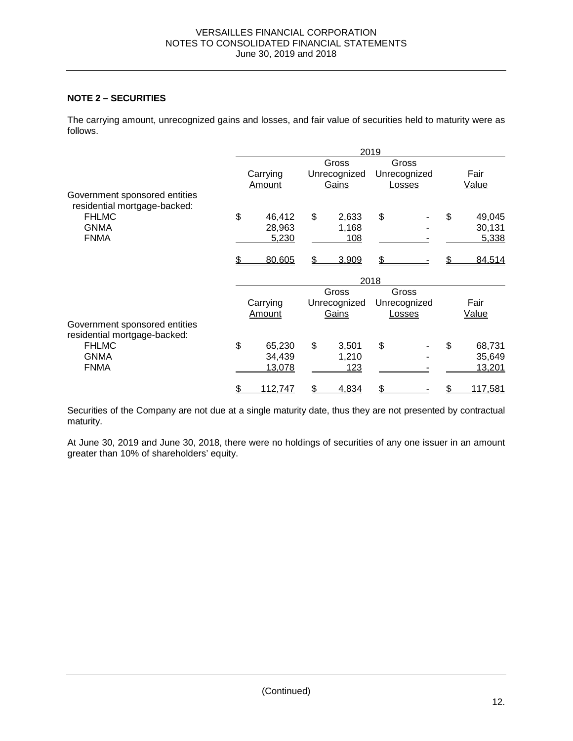# **NOTE 2 – SECURITIES**

The carrying amount, unrecognized gains and losses, and fair value of securities held to maturity were as follows.

|                                                               | 2019          |    |              |      |              |    |         |
|---------------------------------------------------------------|---------------|----|--------------|------|--------------|----|---------|
|                                                               |               |    | Gross        |      | Gross        |    |         |
|                                                               | Carrying      |    | Unrecognized |      | Unrecognized |    | Fair    |
|                                                               | Amount        |    | Gains        |      | Losses       |    | Value   |
| Government sponsored entities<br>residential mortgage-backed: |               |    |              |      |              |    |         |
| <b>FHLMC</b>                                                  | \$<br>46,412  | \$ | 2,633        | \$   |              | \$ | 49,045  |
| <b>GNMA</b>                                                   | 28,963        |    | 1,168        |      |              |    | 30,131  |
| <b>FNMA</b>                                                   | 5,230         |    | 108          |      |              |    | 5,338   |
|                                                               | 80,605        | S  | 3,909        | \$   |              |    | 84,514  |
|                                                               |               |    |              | 2018 |              |    |         |
|                                                               |               |    | Gross        |      | Gross        |    |         |
|                                                               | Carrying      |    | Unrecognized |      | Unrecognized |    | Fair    |
|                                                               | Amount        |    | Gains        |      | Losses       |    | Value   |
| Government sponsored entities<br>residential mortgage-backed: |               |    |              |      |              |    |         |
| <b>FHLMC</b>                                                  | \$<br>65,230  | \$ | 3,501        | \$   |              | \$ | 68,731  |
| <b>GNMA</b>                                                   | 34,439        |    | 1,210        |      |              |    | 35,649  |
| <b>FNMA</b>                                                   | 13,078        |    | 123          |      |              |    | 13,201  |
|                                                               | \$<br>112,747 | \$ | 4,834        | \$   |              |    | 117,581 |

Securities of the Company are not due at a single maturity date, thus they are not presented by contractual maturity.

At June 30, 2019 and June 30, 2018, there were no holdings of securities of any one issuer in an amount greater than 10% of shareholders' equity.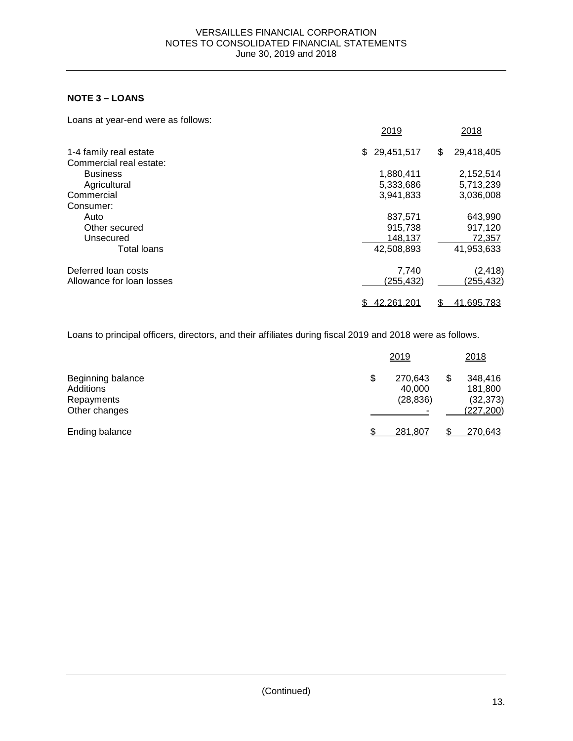# **NOTE 3 – LOANS**

| Loans at year-end were as follows: |                  |                  |
|------------------------------------|------------------|------------------|
|                                    | 2019             | 2018             |
| 1-4 family real estate             | 29,451,517<br>\$ | 29,418,405<br>\$ |
| Commercial real estate:            |                  |                  |
| <b>Business</b>                    | 1,880,411        | 2,152,514        |
| Agricultural                       | 5,333,686        | 5,713,239        |
| Commercial                         | 3,941,833        | 3,036,008        |
| Consumer:                          |                  |                  |
| Auto                               | 837.571          | 643,990          |
| Other secured                      | 915,738          | 917,120          |
| Unsecured                          | 148,137          | 72,357           |
| <b>Total loans</b>                 | 42,508,893       | 41,953,633       |
| Deferred loan costs                | 7,740            | (2, 418)         |
| Allowance for loan losses          | (255,432)        | (255,432)        |
|                                    | 42,261,201       | 41,695,783<br>\$ |

Loans to principal officers, directors, and their affiliates during fiscal 2019 and 2018 were as follows.

|                                                               | 2019 |                                |  | 2018                                         |  |
|---------------------------------------------------------------|------|--------------------------------|--|----------------------------------------------|--|
| Beginning balance<br>Additions<br>Repayments<br>Other changes | \$   | 270,643<br>40,000<br>(28, 836) |  | 348,416<br>181,800<br>(32, 373)<br>(227,200) |  |
| Ending balance                                                | \$.  | 281,807                        |  | 270,643                                      |  |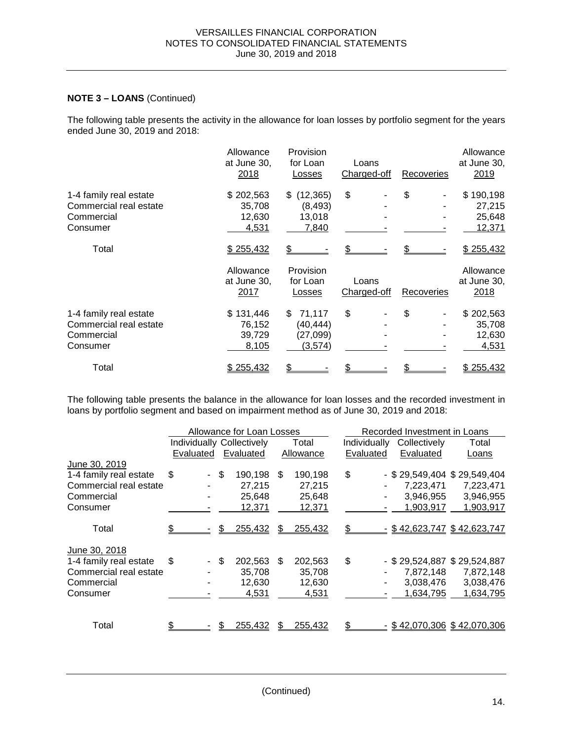## **NOTE 3 – LOANS** (Continued)

The following table presents the activity in the allowance for loan losses by portfolio segment for the years ended June 30, 2019 and 2018:

|                        | Allowance<br>at June 30,<br>2018 | Provision<br>for Loan<br>Losses | Loans<br>Charged-off | Recoveries        | Allowance<br>at June 30,<br>2019 |
|------------------------|----------------------------------|---------------------------------|----------------------|-------------------|----------------------------------|
| 1-4 family real estate | \$202,563                        | (12, 365)<br>\$.                | \$                   | \$                | \$190,198                        |
| Commercial real estate | 35,708                           | (8, 493)                        |                      |                   | 27,215                           |
| Commercial             | 12,630                           | 13,018                          |                      |                   | 25,648                           |
| Consumer               | 4,531                            | 7,840                           |                      |                   | 12,371                           |
| Total                  | \$255,432                        |                                 |                      |                   | \$255,432                        |
|                        | Allowance                        | Provision                       |                      |                   | Allowance                        |
|                        | at June 30,                      | for Loan                        | Loans                |                   | at June 30,                      |
|                        | 2017                             | Losses                          | Charged-off          | <b>Recoveries</b> | 2018                             |
| 1-4 family real estate | \$131,446                        | 71,117<br>S                     | \$                   | \$                | \$202,563                        |
| Commercial real estate | 76,152                           | (40, 444)                       |                      |                   | 35,708                           |
| Commercial             | 39,729                           | (27,099)                        |                      |                   | 12,630                           |
| Consumer               | 8,105                            | (3,574)                         |                      |                   | 4,531                            |
| Total                  | \$255,432                        |                                 |                      |                   | \$255,432                        |

The following table presents the balance in the allowance for loan losses and the recorded investment in loans by portfolio segment and based on impairment method as of June 30, 2019 and 2018:

|                        |              | Allowance for Loan Losses        |                |              | Recorded Investment in Loans |                               |
|------------------------|--------------|----------------------------------|----------------|--------------|------------------------------|-------------------------------|
|                        |              | <b>Individually Collectively</b> | Total          | Individually | Collectively                 | Total                         |
|                        | Evaluated    | Evaluated                        | Allowance      | Evaluated    | Evaluated                    | Loans                         |
| June 30, 2019          |              |                                  |                |              |                              |                               |
| 1-4 family real estate | \$           | - \$<br>190,198                  | \$.<br>190,198 | \$           |                              | $-$ \$29,549,404 \$29,549,404 |
| Commercial real estate |              | 27,215                           | 27,215         |              | 7,223,471                    | 7,223,471                     |
| Commercial             |              | 25,648                           | 25,648         |              | 3,946,955                    | 3,946,955                     |
| Consumer               |              | 12,371                           | 12,371         |              | 1,903,917                    | 1,903,917                     |
|                        |              |                                  |                |              |                              |                               |
| Total                  |              | 255,432                          | 255,432<br>S   |              |                              | $-$ \$42,623,747 \$42,623,747 |
|                        |              |                                  |                |              |                              |                               |
| June 30, 2018          |              |                                  |                |              |                              |                               |
| 1-4 family real estate | \$<br>$\sim$ | \$<br>202,563                    | 202,563<br>\$. | \$           |                              | - \$29,524,887 \$29,524,887   |
| Commercial real estate |              | 35,708                           | 35,708         |              | 7,872,148                    | 7,872,148                     |
| Commercial             |              | 12,630                           | 12,630         |              | 3,038,476                    | 3,038,476                     |
| Consumer               |              | 4,531                            | 4,531          |              | 1,634,795                    | 1,634,795                     |
|                        |              |                                  |                |              |                              |                               |
|                        |              |                                  |                |              |                              |                               |
| Total                  |              | 255,432                          | 255,432<br>S   |              |                              | $-$ \$42,070,306 \$42,070,306 |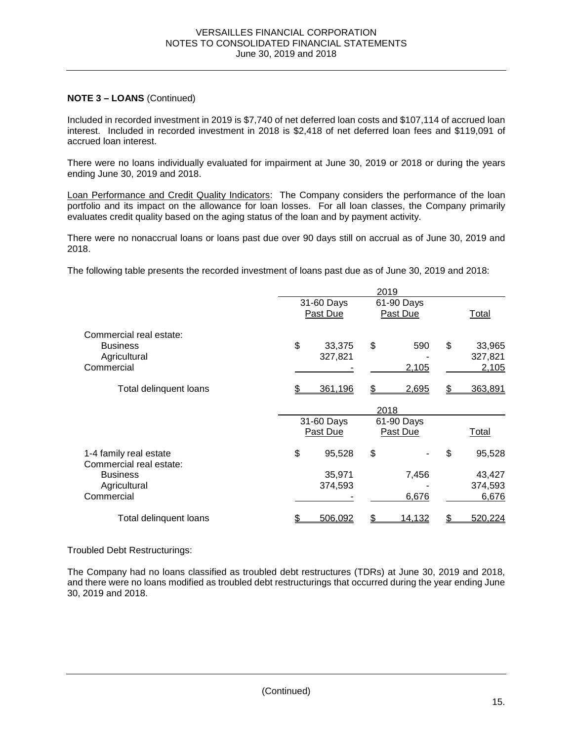### **NOTE 3 – LOANS** (Continued)

Included in recorded investment in 2019 is \$7,740 of net deferred loan costs and \$107,114 of accrued loan interest. Included in recorded investment in 2018 is \$2,418 of net deferred loan fees and \$119,091 of accrued loan interest.

There were no loans individually evaluated for impairment at June 30, 2019 or 2018 or during the years ending June 30, 2019 and 2018.

Loan Performance and Credit Quality Indicators: The Company considers the performance of the loan portfolio and its impact on the allowance for loan losses. For all loan classes, the Company primarily evaluates credit quality based on the aging status of the loan and by payment activity.

There were no nonaccrual loans or loans past due over 90 days still on accrual as of June 30, 2019 and 2018.

The following table presents the recorded investment of loans past due as of June 30, 2019 and 2018:

|                                                                          | 2019 |                                                          |    |                        |       |                            |
|--------------------------------------------------------------------------|------|----------------------------------------------------------|----|------------------------|-------|----------------------------|
|                                                                          |      | 31-60 Days<br>Past Due                                   |    | 61-90 Days<br>Past Due |       | Total                      |
| Commercial real estate:<br><b>Business</b><br>Agricultural<br>Commercial | \$   | 33,375<br>327,821                                        | \$ | 590<br>2,105           | \$    | 33,965<br>327,821<br>2,105 |
| Total delinquent loans                                                   |      | 361,196                                                  |    | 2,695                  | S     | 363,891                    |
|                                                                          |      |                                                          |    |                        |       |                            |
|                                                                          |      | 2018<br>31-60 Days<br>61-90 Days<br>Past Due<br>Past Due |    |                        | Total |                            |
| 1-4 family real estate<br>Commercial real estate:                        | \$   | 95,528                                                   | \$ |                        | \$    | 95,528                     |
| <b>Business</b><br>Agricultural<br>Commercial                            |      | 35,971<br>374,593                                        |    | 7,456<br>6,676         |       | 43,427<br>374,593<br>6,676 |
| Total delinquent loans                                                   |      | 506,092                                                  | \$ | 14,132                 |       | 520,224                    |

#### Troubled Debt Restructurings:

The Company had no loans classified as troubled debt restructures (TDRs) at June 30, 2019 and 2018, and there were no loans modified as troubled debt restructurings that occurred during the year ending June 30, 2019 and 2018.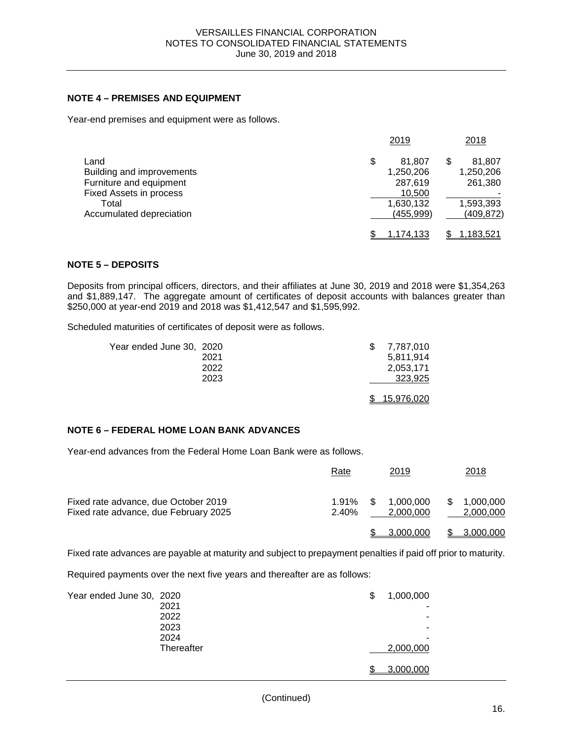#### **NOTE 4 – PREMISES AND EQUIPMENT**

Year-end premises and equipment were as follows.

|                           | 2019         | 2018             |
|---------------------------|--------------|------------------|
| Land                      | \$<br>81.807 | 81,807           |
| Building and improvements | 1,250,206    | 1,250,206        |
| Furniture and equipment   | 287,619      | 261,380          |
| Fixed Assets in process   | 10,500       |                  |
| Total                     | 1,630,132    | 1,593,393        |
| Accumulated depreciation  | (455, 999)   | (409, 872)       |
|                           | 1.174.133    | <u>1,183,521</u> |

### **NOTE 5 – DEPOSITS**

Deposits from principal officers, directors, and their affiliates at June 30, 2019 and 2018 were \$1,354,263 and \$1,889,147. The aggregate amount of certificates of deposit accounts with balances greater than \$250,000 at year-end 2019 and 2018 was \$1,412,547 and \$1,595,992.

Scheduled maturities of certificates of deposit were as follows.

| Year ended June 30, 2020 |      | 7,787,010         |
|--------------------------|------|-------------------|
|                          | 2021 | 5,811,914         |
|                          | 2022 | 2,053,171         |
|                          | 2023 | 323,925           |
|                          |      |                   |
|                          |      | <u>15,976,020</u> |

#### **NOTE 6 – FEDERAL HOME LOAN BANK ADVANCES**

Year-end advances from the Federal Home Loan Bank were as follows.

|                                                                               | Rate           |     | 2019                   | 2018                   |
|-------------------------------------------------------------------------------|----------------|-----|------------------------|------------------------|
| Fixed rate advance, due October 2019<br>Fixed rate advance, due February 2025 | 1.91%<br>2.40% | \$. | 1.000.000<br>2,000,000 | 1,000,000<br>2,000,000 |
|                                                                               |                |     | 3.000.000              | 3,000,000              |

Fixed rate advances are payable at maturity and subject to prepayment penalties if paid off prior to maturity.

Required payments over the next five years and thereafter are as follows:

| Year ended June 30, 2020 |            | \$<br>1,000,000 |
|--------------------------|------------|-----------------|
|                          | 2021       | -               |
|                          | 2022       |                 |
|                          | 2023       | -               |
|                          | 2024       | -               |
|                          | Thereafter | 2,000,000       |
|                          |            | 3,000,000       |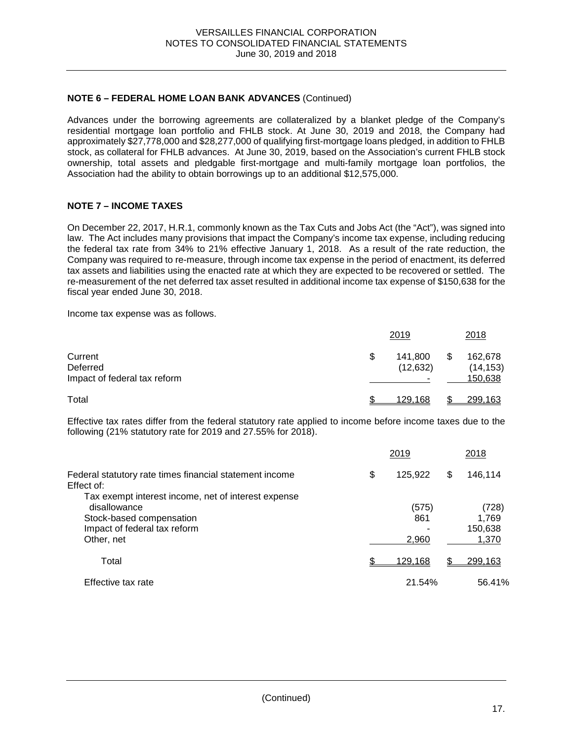#### **NOTE 6 – FEDERAL HOME LOAN BANK ADVANCES** (Continued)

Advances under the borrowing agreements are collateralized by a blanket pledge of the Company's residential mortgage loan portfolio and FHLB stock. At June 30, 2019 and 2018, the Company had approximately \$27,778,000 and \$28,277,000 of qualifying first-mortgage loans pledged, in addition to FHLB stock, as collateral for FHLB advances. At June 30, 2019, based on the Association's current FHLB stock ownership, total assets and pledgable first-mortgage and multi-family mortgage loan portfolios, the Association had the ability to obtain borrowings up to an additional \$12,575,000.

### **NOTE 7 – INCOME TAXES**

On December 22, 2017, H.R.1, commonly known as the Tax Cuts and Jobs Act (the "Act"), was signed into law. The Act includes many provisions that impact the Company's income tax expense, including reducing the federal tax rate from 34% to 21% effective January 1, 2018. As a result of the rate reduction, the Company was required to re-measure, through income tax expense in the period of enactment, its deferred tax assets and liabilities using the enacted rate at which they are expected to be recovered or settled. The re-measurement of the net deferred tax asset resulted in additional income tax expense of \$150,638 for the fiscal year ended June 30, 2018.

Income tax expense was as follows.

|                                                     | 2019                       | 2018                            |
|-----------------------------------------------------|----------------------------|---------------------------------|
| Current<br>Deferred<br>Impact of federal tax reform | \$<br>141,800<br>(12, 632) | 162,678<br>(14, 153)<br>150,638 |
| Total                                               | 129.168                    | 299,163                         |

Effective tax rates differ from the federal statutory rate applied to income before income taxes due to the following (21% statutory rate for 2019 and 27.55% for 2018).

|                                                                       | 2019          | 2018             |  |
|-----------------------------------------------------------------------|---------------|------------------|--|
| Federal statutory rate times financial statement income<br>Effect of: | \$<br>125,922 | \$<br>146,114    |  |
| Tax exempt interest income, net of interest expense<br>disallowance   | (575)         | (728)            |  |
| Stock-based compensation<br>Impact of federal tax reform              | 861           | 1,769<br>150,638 |  |
| Other, net                                                            | 2,960         | 1,370            |  |
| Total                                                                 | 129,168       | 299,163          |  |
| Effective tax rate                                                    | 21.54%        | 56.41%           |  |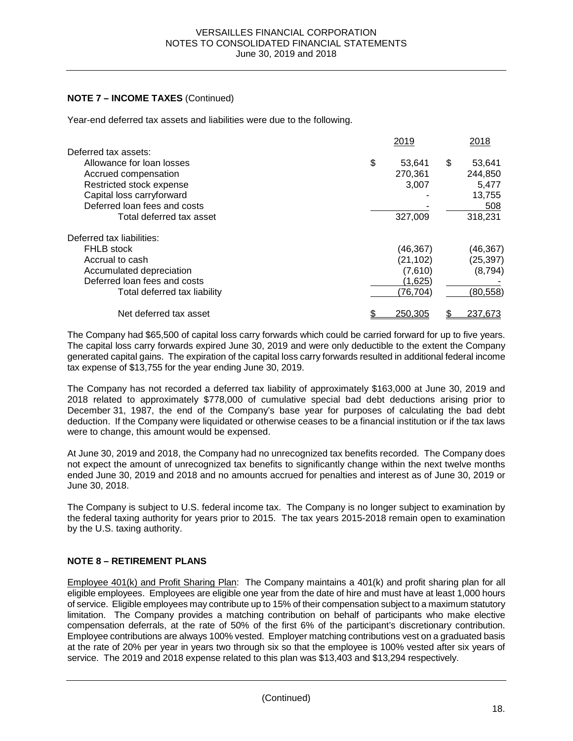### **NOTE 7 – INCOME TAXES** (Continued)

Year-end deferred tax assets and liabilities were due to the following.

| 2019         |                                 | 2018      |
|--------------|---------------------------------|-----------|
|              |                                 |           |
| \$<br>53,641 | \$                              | 53,641    |
| 270,361      |                                 | 244,850   |
| 3,007        |                                 | 5,477     |
|              |                                 | 13,755    |
|              |                                 | 508       |
| 327,009      |                                 | 318,231   |
|              |                                 |           |
| (46,367)     |                                 | (46, 367) |
|              |                                 | (25, 397) |
|              |                                 | (8,794)   |
|              |                                 |           |
| (76, 704)    |                                 | (80, 558) |
| 250,305      |                                 | 237,673   |
|              | (21, 102)<br>(7,610)<br>(1,625) |           |

The Company had \$65,500 of capital loss carry forwards which could be carried forward for up to five years. The capital loss carry forwards expired June 30, 2019 and were only deductible to the extent the Company generated capital gains. The expiration of the capital loss carry forwards resulted in additional federal income tax expense of \$13,755 for the year ending June 30, 2019.

The Company has not recorded a deferred tax liability of approximately \$163,000 at June 30, 2019 and 2018 related to approximately \$778,000 of cumulative special bad debt deductions arising prior to December 31, 1987, the end of the Company's base year for purposes of calculating the bad debt deduction. If the Company were liquidated or otherwise ceases to be a financial institution or if the tax laws were to change, this amount would be expensed.

At June 30, 2019 and 2018, the Company had no unrecognized tax benefits recorded. The Company does not expect the amount of unrecognized tax benefits to significantly change within the next twelve months ended June 30, 2019 and 2018 and no amounts accrued for penalties and interest as of June 30, 2019 or June 30, 2018.

The Company is subject to U.S. federal income tax. The Company is no longer subject to examination by the federal taxing authority for years prior to 2015. The tax years 2015-2018 remain open to examination by the U.S. taxing authority.

### **NOTE 8 – RETIREMENT PLANS**

Employee 401(k) and Profit Sharing Plan: The Company maintains a 401(k) and profit sharing plan for all eligible employees. Employees are eligible one year from the date of hire and must have at least 1,000 hours of service. Eligible employees may contribute up to 15% of their compensation subject to a maximum statutory limitation. The Company provides a matching contribution on behalf of participants who make elective compensation deferrals, at the rate of 50% of the first 6% of the participant's discretionary contribution. Employee contributions are always 100% vested. Employer matching contributions vest on a graduated basis at the rate of 20% per year in years two through six so that the employee is 100% vested after six years of service. The 2019 and 2018 expense related to this plan was \$13,403 and \$13,294 respectively.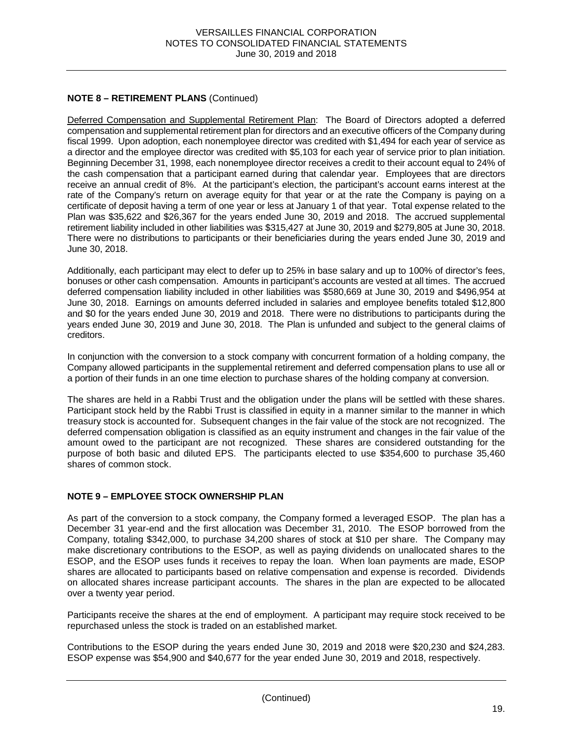# **NOTE 8 – RETIREMENT PLANS** (Continued)

Deferred Compensation and Supplemental Retirement Plan: The Board of Directors adopted a deferred compensation and supplemental retirement plan for directors and an executive officers of the Company during fiscal 1999. Upon adoption, each nonemployee director was credited with \$1,494 for each year of service as a director and the employee director was credited with \$5,103 for each year of service prior to plan initiation. Beginning December 31, 1998, each nonemployee director receives a credit to their account equal to 24% of the cash compensation that a participant earned during that calendar year. Employees that are directors receive an annual credit of 8%. At the participant's election, the participant's account earns interest at the rate of the Company's return on average equity for that year or at the rate the Company is paying on a certificate of deposit having a term of one year or less at January 1 of that year. Total expense related to the Plan was \$35,622 and \$26,367 for the years ended June 30, 2019 and 2018. The accrued supplemental retirement liability included in other liabilities was \$315,427 at June 30, 2019 and \$279,805 at June 30, 2018. There were no distributions to participants or their beneficiaries during the years ended June 30, 2019 and June 30, 2018.

Additionally, each participant may elect to defer up to 25% in base salary and up to 100% of director's fees, bonuses or other cash compensation. Amounts in participant's accounts are vested at all times. The accrued deferred compensation liability included in other liabilities was \$580,669 at June 30, 2019 and \$496,954 at June 30, 2018. Earnings on amounts deferred included in salaries and employee benefits totaled \$12,800 and \$0 for the years ended June 30, 2019 and 2018. There were no distributions to participants during the years ended June 30, 2019 and June 30, 2018. The Plan is unfunded and subject to the general claims of creditors.

In conjunction with the conversion to a stock company with concurrent formation of a holding company, the Company allowed participants in the supplemental retirement and deferred compensation plans to use all or a portion of their funds in an one time election to purchase shares of the holding company at conversion.

The shares are held in a Rabbi Trust and the obligation under the plans will be settled with these shares. Participant stock held by the Rabbi Trust is classified in equity in a manner similar to the manner in which treasury stock is accounted for. Subsequent changes in the fair value of the stock are not recognized. The deferred compensation obligation is classified as an equity instrument and changes in the fair value of the amount owed to the participant are not recognized. These shares are considered outstanding for the purpose of both basic and diluted EPS. The participants elected to use \$354,600 to purchase 35,460 shares of common stock.

# **NOTE 9 – EMPLOYEE STOCK OWNERSHIP PLAN**

As part of the conversion to a stock company, the Company formed a leveraged ESOP. The plan has a December 31 year-end and the first allocation was December 31, 2010. The ESOP borrowed from the Company, totaling \$342,000, to purchase 34,200 shares of stock at \$10 per share. The Company may make discretionary contributions to the ESOP, as well as paying dividends on unallocated shares to the ESOP, and the ESOP uses funds it receives to repay the loan. When loan payments are made, ESOP shares are allocated to participants based on relative compensation and expense is recorded. Dividends on allocated shares increase participant accounts. The shares in the plan are expected to be allocated over a twenty year period.

Participants receive the shares at the end of employment. A participant may require stock received to be repurchased unless the stock is traded on an established market.

Contributions to the ESOP during the years ended June 30, 2019 and 2018 were \$20,230 and \$24,283. ESOP expense was \$54,900 and \$40,677 for the year ended June 30, 2019 and 2018, respectively.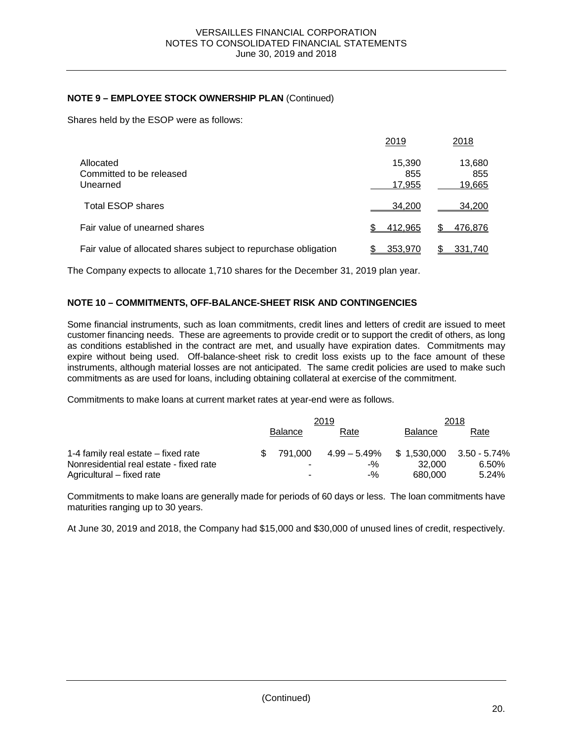## **NOTE 9 – EMPLOYEE STOCK OWNERSHIP PLAN** (Continued)

Shares held by the ESOP were as follows:

|                                                                 | 2019                    | 2018                    |
|-----------------------------------------------------------------|-------------------------|-------------------------|
| Allocated<br>Committed to be released<br>Unearned               | 15,390<br>855<br>17,955 | 13,680<br>855<br>19,665 |
| <b>Total ESOP shares</b>                                        | 34.200                  | 34,200                  |
| Fair value of unearned shares                                   | 412,965                 | 476,876                 |
| Fair value of allocated shares subject to repurchase obligation | 353,970                 | 331,740                 |

The Company expects to allocate 1,710 shares for the December 31, 2019 plan year.

### **NOTE 10 – COMMITMENTS, OFF-BALANCE-SHEET RISK AND CONTINGENCIES**

Some financial instruments, such as loan commitments, credit lines and letters of credit are issued to meet customer financing needs. These are agreements to provide credit or to support the credit of others, as long as conditions established in the contract are met, and usually have expiration dates. Commitments may expire without being used. Off-balance-sheet risk to credit loss exists up to the face amount of these instruments, although material losses are not anticipated. The same credit policies are used to make such commitments as are used for loans, including obtaining collateral at exercise of the commitment.

Commitments to make loans at current market rates at year-end were as follows.

|                                         |                | 2019  | 2018                                      |       |  |  |
|-----------------------------------------|----------------|-------|-------------------------------------------|-------|--|--|
|                                         | <b>Balance</b> | Rate  | <b>Balance</b>                            | Rate  |  |  |
| 1-4 family real estate – fixed rate     | 791.000        |       | $4.99 - 5.49\%$ \$ 1,530,000 3.50 - 5.74% |       |  |  |
| Nonresidential real estate - fixed rate |                | $-$ % | 32.000                                    | 6.50% |  |  |
| Agricultural – fixed rate               |                | -%    | 680,000                                   | 5.24% |  |  |

Commitments to make loans are generally made for periods of 60 days or less. The loan commitments have maturities ranging up to 30 years.

At June 30, 2019 and 2018, the Company had \$15,000 and \$30,000 of unused lines of credit, respectively.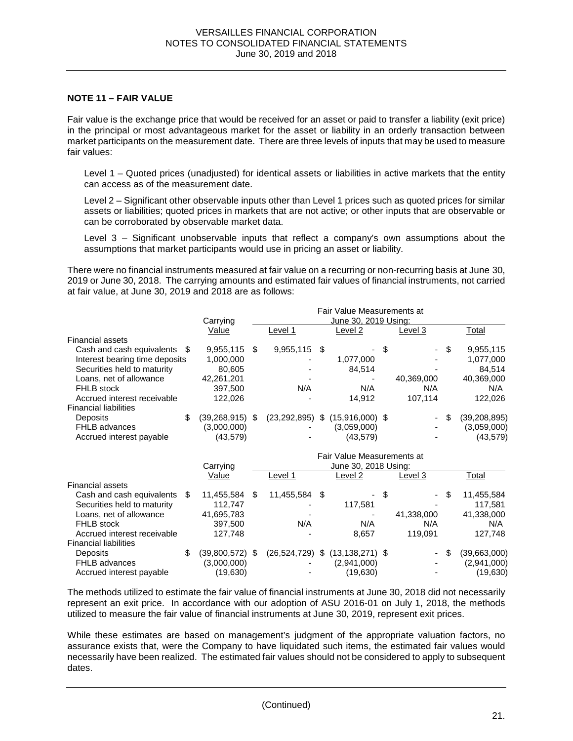#### **NOTE 11 – FAIR VALUE**

Fair value is the exchange price that would be received for an asset or paid to transfer a liability (exit price) in the principal or most advantageous market for the asset or liability in an orderly transaction between market participants on the measurement date. There are three levels of inputs that may be used to measure fair values:

Level 1 – Quoted prices (unadjusted) for identical assets or liabilities in active markets that the entity can access as of the measurement date.

Level 2 – Significant other observable inputs other than Level 1 prices such as quoted prices for similar assets or liabilities; quoted prices in markets that are not active; or other inputs that are observable or can be corroborated by observable market data.

Level 3 – Significant unobservable inputs that reflect a company's own assumptions about the assumptions that market participants would use in pricing an asset or liability.

There were no financial instruments measured at fair value on a recurring or non-recurring basis at June 30, 2019 or June 30, 2018. The carrying amounts and estimated fair values of financial instruments, not carried at fair value, at June 30, 2019 and 2018 are as follows:

|                                   |                 |      |                | Fair Value Measurements at          |      |            |   |                |
|-----------------------------------|-----------------|------|----------------|-------------------------------------|------|------------|---|----------------|
|                                   | Carrying        |      |                | June 30, 2019 Using:                |      |            |   |                |
|                                   | Value           |      | Level 1        | Level 2                             |      | Level 3    |   | <b>Total</b>   |
| <b>Financial assets</b>           |                 |      |                |                                     |      |            |   |                |
| Cash and cash equivalents<br>- \$ | 9,955,115       | - \$ | $9,955,115$ \$ |                                     | - \$ | - \$       |   | 9,955,115      |
| Interest bearing time deposits    | 1,000,000       |      |                | 1,077,000                           |      |            |   | 1,077,000      |
| Securities held to maturity       | 80,605          |      |                | 84.514                              |      |            |   | 84.514         |
| Loans, net of allowance           | 42,261,201      |      |                |                                     |      | 40,369,000 |   | 40,369,000     |
| <b>FHLB</b> stock                 | 397.500         |      | N/A            | N/A                                 |      | N/A        |   | N/A            |
| Accrued interest receivable       | 122.026         |      |                | 14.912                              |      | 107.114    |   | 122,026        |
| <b>Financial liabilities</b>      |                 |      |                |                                     |      |            |   |                |
| \$<br><b>Deposits</b>             | (39,268,915) \$ |      |                | $(23,292,895)$ \$ $(15,916,000)$ \$ |      | $\sim$     | S | (39, 208, 895) |
| <b>FHLB</b> advances              | (3,000,000)     |      |                | (3.059,000)                         |      |            |   | (3,059,000)    |
| Accrued interest payable          | (43, 579)       |      |                | (43, 579)                           |      |            |   | (43, 579)      |
|                                   |                 |      |                |                                     |      |            |   |                |

|                              | Fair Value Measurements at<br>June 30, 2018 Using:<br>Carrying |   |                |     |                          |    |                          |    |              |  |
|------------------------------|----------------------------------------------------------------|---|----------------|-----|--------------------------|----|--------------------------|----|--------------|--|
|                              | Value                                                          |   | Level 1        |     | Level 2                  |    | Level 3                  |    | Total        |  |
| <b>Financial assets</b>      |                                                                |   |                |     |                          |    |                          |    |              |  |
| Cash and cash equivalents    | 11,455,584                                                     | S | 11,455,584     | \$. | $\overline{\phantom{0}}$ | \$ | $\overline{\phantom{0}}$ | \$ | 11,455,584   |  |
| Securities held to maturity  | 112.747                                                        |   |                |     | 117,581                  |    |                          |    | 117.581      |  |
| Loans, net of allowance      | 41,695,783                                                     |   |                |     |                          |    | 41,338,000               |    | 41,338,000   |  |
| <b>FHLB</b> stock            | 397,500                                                        |   | N/A            |     | N/A                      |    | N/A                      |    | N/A          |  |
| Accrued interest receivable  | 127.748                                                        |   |                |     | 8,657                    |    | 119,091                  |    | 127,748      |  |
| <b>Financial liabilities</b> |                                                                |   |                |     |                          |    |                          |    |              |  |
| <b>Deposits</b>              | \$<br>$(39,800,572)$ \$                                        |   | (26, 524, 729) | \$  | $(13, 138, 271)$ \$      |    | ۰.                       | \$ | (39,663,000) |  |
| <b>FHLB</b> advances         | (3,000,000)                                                    |   |                |     | (2,941,000)              |    | ٠                        |    | (2,941,000)  |  |
| Accrued interest payable     | (19,630)                                                       |   |                |     | (19,630)                 |    |                          |    | (19.630)     |  |

The methods utilized to estimate the fair value of financial instruments at June 30, 2018 did not necessarily represent an exit price. In accordance with our adoption of ASU 2016-01 on July 1, 2018, the methods utilized to measure the fair value of financial instruments at June 30, 2019, represent exit prices.

While these estimates are based on management's judgment of the appropriate valuation factors, no assurance exists that, were the Company to have liquidated such items, the estimated fair values would necessarily have been realized. The estimated fair values should not be considered to apply to subsequent dates.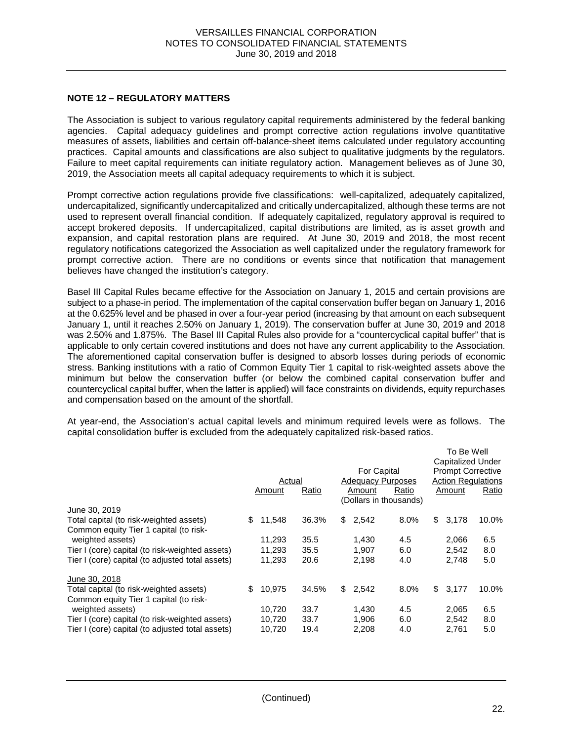#### **NOTE 12 – REGULATORY MATTERS**

The Association is subject to various regulatory capital requirements administered by the federal banking agencies. Capital adequacy guidelines and prompt corrective action regulations involve quantitative measures of assets, liabilities and certain off-balance-sheet items calculated under regulatory accounting practices. Capital amounts and classifications are also subject to qualitative judgments by the regulators. Failure to meet capital requirements can initiate regulatory action. Management believes as of June 30, 2019, the Association meets all capital adequacy requirements to which it is subject.

Prompt corrective action regulations provide five classifications: well-capitalized, adequately capitalized, undercapitalized, significantly undercapitalized and critically undercapitalized, although these terms are not used to represent overall financial condition. If adequately capitalized, regulatory approval is required to accept brokered deposits. If undercapitalized, capital distributions are limited, as is asset growth and expansion, and capital restoration plans are required. At June 30, 2019 and 2018, the most recent regulatory notifications categorized the Association as well capitalized under the regulatory framework for prompt corrective action. There are no conditions or events since that notification that management believes have changed the institution's category.

Basel III Capital Rules became effective for the Association on January 1, 2015 and certain provisions are subject to a phase-in period. The implementation of the capital conservation buffer began on January 1, 2016 at the 0.625% level and be phased in over a four-year period (increasing by that amount on each subsequent January 1, until it reaches 2.50% on January 1, 2019). The conservation buffer at June 30, 2019 and 2018 was 2.50% and 1.875%. The Basel III Capital Rules also provide for a "countercyclical capital buffer" that is applicable to only certain covered institutions and does not have any current applicability to the Association. The aforementioned capital conservation buffer is designed to absorb losses during periods of economic stress. Banking institutions with a ratio of Common Equity Tier 1 capital to risk-weighted assets above the minimum but below the conservation buffer (or below the combined capital conservation buffer and countercyclical capital buffer, when the latter is applied) will face constraints on dividends, equity repurchases and compensation based on the amount of the shortfall.

At year-end, the Association's actual capital levels and minimum required levels were as follows. The capital consolidation buffer is excluded from the adequately capitalized risk-based ratios.

|                                                  | Actual<br>Amount | Ratio | For Capital<br><b>Adequacy Purposes</b><br>Amount | Ratio<br>(Dollars in thousands) | To Be Well<br>Capitalized Under<br><b>Prompt Corrective</b><br>Amount | <b>Action Regulations</b><br>Ratio |
|--------------------------------------------------|------------------|-------|---------------------------------------------------|---------------------------------|-----------------------------------------------------------------------|------------------------------------|
| June 30, 2019                                    |                  |       |                                                   |                                 |                                                                       |                                    |
| Total capital (to risk-weighted assets)          | \$<br>11,548     | 36.3% | \$2,542                                           | 8.0%                            | \$<br>3,178                                                           | 10.0%                              |
| Common equity Tier 1 capital (to risk-           |                  |       |                                                   |                                 |                                                                       |                                    |
| weighted assets)                                 | 11,293           | 35.5  | 1,430                                             | 4.5                             | 2,066                                                                 | 6.5                                |
| Tier I (core) capital (to risk-weighted assets)  | 11,293           | 35.5  | 1,907                                             | 6.0                             | 2,542                                                                 | 8.0                                |
| Tier I (core) capital (to adjusted total assets) | 11,293           | 20.6  | 2,198                                             | 4.0                             | 2,748                                                                 | 5.0                                |
| June 30, 2018                                    |                  |       |                                                   |                                 |                                                                       |                                    |
| Total capital (to risk-weighted assets)          | \$<br>10,975     | 34.5% | \$2,542                                           | 8.0%                            | \$<br>3,177                                                           | 10.0%                              |
| Common equity Tier 1 capital (to risk-           |                  |       |                                                   |                                 |                                                                       |                                    |
| weighted assets)                                 | 10.720           | 33.7  | 1.430                                             | 4.5                             | 2.065                                                                 | 6.5                                |
| Tier I (core) capital (to risk-weighted assets)  | 10,720           | 33.7  | 1,906                                             | 6.0                             | 2,542                                                                 | 8.0                                |
| Tier I (core) capital (to adjusted total assets) | 10,720           | 19.4  | 2.208                                             | 4.0                             | 2,761                                                                 | 5.0                                |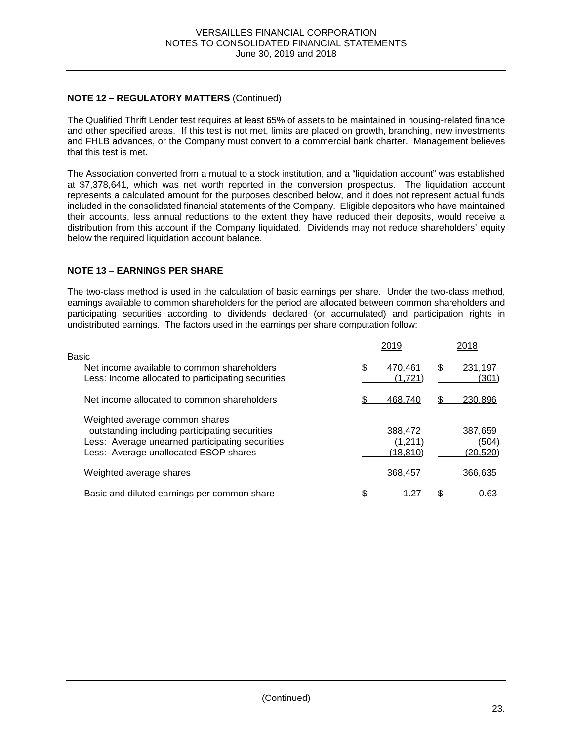# **NOTE 12 – REGULATORY MATTERS** (Continued)

The Qualified Thrift Lender test requires at least 65% of assets to be maintained in housing-related finance and other specified areas. If this test is not met, limits are placed on growth, branching, new investments and FHLB advances, or the Company must convert to a commercial bank charter. Management believes that this test is met.

The Association converted from a mutual to a stock institution, and a "liquidation account" was established at \$7,378,641, which was net worth reported in the conversion prospectus. The liquidation account represents a calculated amount for the purposes described below, and it does not represent actual funds included in the consolidated financial statements of the Company. Eligible depositors who have maintained their accounts, less annual reductions to the extent they have reduced their deposits, would receive a distribution from this account if the Company liquidated. Dividends may not reduce shareholders' equity below the required liquidation account balance.

### **NOTE 13 – EARNINGS PER SHARE**

The two-class method is used in the calculation of basic earnings per share. Under the two-class method, earnings available to common shareholders for the period are allocated between common shareholders and participating securities according to dividends declared (or accumulated) and participation rights in undistributed earnings. The factors used in the earnings per share computation follow:

|                                                    |   | 2019     |   | 2018            |
|----------------------------------------------------|---|----------|---|-----------------|
| Basic                                              |   |          |   |                 |
| Net income available to common shareholders        | S | 470.461  | S | 231,197         |
| Less: Income allocated to participating securities |   | (1,721)  |   | (301)           |
| Net income allocated to common shareholders        |   | 468.740  |   | 230,896         |
| Weighted average common shares                     |   |          |   |                 |
| outstanding including participating securities     |   | 388,472  |   | 387,659         |
| Less: Average unearned participating securities    |   | (1,211)  |   | (504)           |
| Less: Average unallocated ESOP shares              |   | (18,810) |   | <u>(20,520)</u> |
| Weighted average shares                            |   | 368,457  |   | 366.635         |
| Basic and diluted earnings per common share        |   | 1.27     |   | 0.63            |